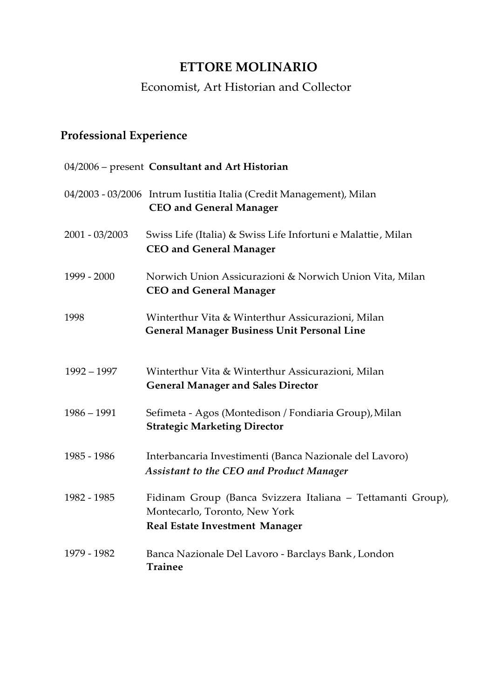## **ETTORE MOLINARIO**

### Economist, Art Historian and Collector

# **Professional Experience**

|                  | 04/2006 - present Consultant and Art Historian                                                                                        |
|------------------|---------------------------------------------------------------------------------------------------------------------------------------|
|                  | 04/2003 - 03/2006 Intrum Iustitia Italia (Credit Management), Milan<br><b>CEO and General Manager</b>                                 |
| $2001 - 03/2003$ | Swiss Life (Italia) & Swiss Life Infortuni e Malattie, Milan<br><b>CEO</b> and General Manager                                        |
| 1999 - 2000      | Norwich Union Assicurazioni & Norwich Union Vita, Milan<br><b>CEO and General Manager</b>                                             |
| 1998             | Winterthur Vita & Winterthur Assicurazioni, Milan<br><b>General Manager Business Unit Personal Line</b>                               |
| $1992 - 1997$    | Winterthur Vita & Winterthur Assicurazioni, Milan<br><b>General Manager and Sales Director</b>                                        |
| $1986 - 1991$    | Sefimeta - Agos (Montedison / Fondiaria Group), Milan<br><b>Strategic Marketing Director</b>                                          |
| 1985 - 1986      | Interbancaria Investimenti (Banca Nazionale del Lavoro)<br><b>Assistant to the CEO and Product Manager</b>                            |
| 1982 - 1985      | Fidinam Group (Banca Svizzera Italiana - Tettamanti Group),<br>Montecarlo, Toronto, New York<br><b>Real Estate Investment Manager</b> |
| 1979 - 1982      | Banca Nazionale Del Lavoro - Barclays Bank, London<br><b>Trainee</b>                                                                  |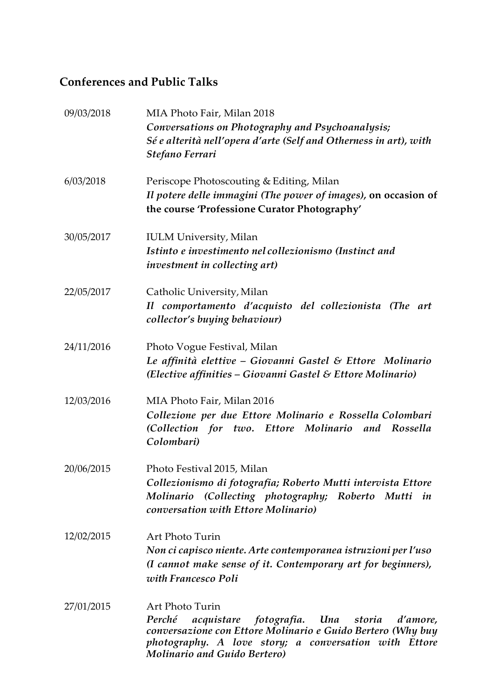### **Conferences and Public Talks**

| 09/03/2018 | MIA Photo Fair, Milan 2018<br>Conversations on Photography and Psychoanalysis;<br>Sé e alterità nell'opera d'arte (Self and Otherness in art), with<br>Stefano Ferrari                                                                       |
|------------|----------------------------------------------------------------------------------------------------------------------------------------------------------------------------------------------------------------------------------------------|
| 6/03/2018  | Periscope Photoscouting & Editing, Milan<br>Il potere delle immagini (The power of images), on occasion of<br>the course 'Professione Curator Photography'                                                                                   |
| 30/05/2017 | <b>IULM University, Milan</b><br>Istinto e investimento nel collezionismo (Instinct and<br><i>investment in collecting art)</i>                                                                                                              |
| 22/05/2017 | Catholic University, Milan<br>Il comportamento d'acquisto del collezionista (The art<br>collector's buying behaviour)                                                                                                                        |
| 24/11/2016 | Photo Vogue Festival, Milan<br>Le affinità elettive – Giovanni Gastel & Ettore Molinario<br>(Elective affinities – Giovanni Gastel & Ettore Molinario)                                                                                       |
| 12/03/2016 | MIA Photo Fair, Milan 2016<br>Collezione per due Ettore Molinario e Rossella Colombari<br>(Collection for two. Ettore Molinario and Rossella<br>Colombari)                                                                                   |
| 20/06/2015 | Photo Festival 2015, Milan<br>Collezionismo di fotografia; Roberto Mutti intervista Ettore<br>Molinario (Collecting photography; Roberto Mutti<br>in<br>conversation with Ettore Molinario)                                                  |
| 12/02/2015 | Art Photo Turin<br>Non ci capisco niente. Arte contemporanea istruzioni per l'uso<br>(I cannot make sense of it. Contemporary art for beginners),<br>with Francesco Poli                                                                     |
| 27/01/2015 | Art Photo Turin<br>Perché<br>acquistare<br>fotografia. Una storia<br>d'amore,<br>conversazione con Ettore Molinario e Guido Bertero (Why buy<br>photography. A love story; a conversation with Ettore<br><b>Molinario and Guido Bertero)</b> |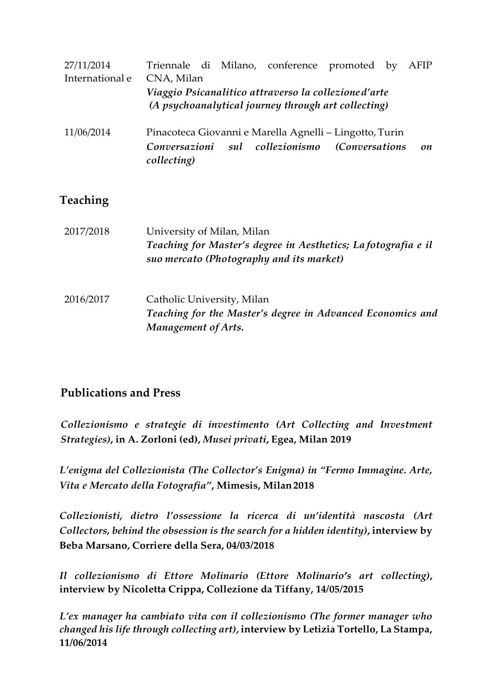| 27/11/2014      |                                                         |  |  | Triennale di Milano, conference promoted by         |  |  | AFIP |
|-----------------|---------------------------------------------------------|--|--|-----------------------------------------------------|--|--|------|
| International e | CNA, Milan                                              |  |  |                                                     |  |  |      |
|                 | Viaggio Psicanalitico attraverso la collezione d'arte   |  |  |                                                     |  |  |      |
|                 |                                                         |  |  | (A psychoanalytical journey through art collecting) |  |  |      |
| 11/06/2014      | Pinacoteca Giovanni e Marella Agnelli – Lingotto, Turin |  |  |                                                     |  |  |      |
|                 | Conversazioni<br>collecting)                            |  |  | sul collezionismo (Conversations                    |  |  | on   |

#### **Teaching**

| 2017/2018 | University of Milan, Milan<br>Teaching for Master's degree in Aesthetics; Lafotografia e il<br>suo mercato (Photography and its market) |  |  |  |
|-----------|-----------------------------------------------------------------------------------------------------------------------------------------|--|--|--|
| 2016/2017 | Catholic University, Milan<br>Teaching for the Master's degree in Advanced Economics and<br>Management of Arts.                         |  |  |  |

#### **Publications and Press**

*Collezionismo e strategie di investimento (Art Collecting and Investment Strategies)***, in A. Zorloni (ed),** *Musei privati***, Egea, Milan 2019**

*L'enigma del Collezionista (The Collector's Enigma) in "Fermo Immagine. Arte, Vita e Mercato della Fotografia"***, Mimesis, Milan2018**

*Collezionisti, dietro l'ossessione la ricerca di un'identità nascosta (Art Collectors, behind the obsession is the search for a hidden identity)***, interview by Beba Marsano, Corriere della Sera, 04/03/2018**

*Il collezionismo di Ettore Molinario (Ettore Molinario's art collecting)***, interview by Nicoletta Crippa, Collezione da Tiffany, 14/05/2015**

*L'ex manager ha cambiato vita con il collezionismo (The former manager who changed his life through collecting art)***, interview by Letizia Tortello, La Stampa, 11/06/2014**